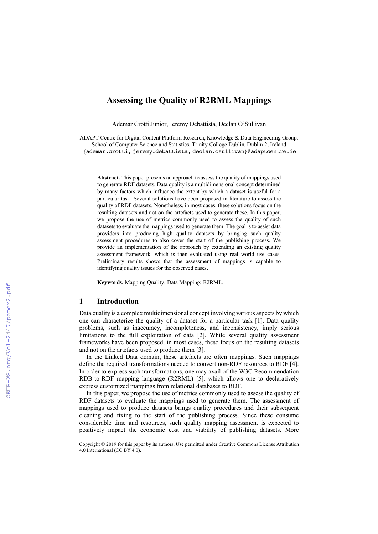# **Assessing the Quality of R2RML Mappings**

Ademar Crotti Junior, Jeremy Debattista, Declan O'Sullivan

ADAPT Centre for Digital Content Platform Research, Knowledge & Data Engineering Group, School of Computer Science and Statistics, Trinity College Dublin, Dublin 2, Ireland {ademar.crotti, jeremy.debattista, declan.osullivan}@adaptcentre.ie

**Abstract.** This paper presents an approach to assess the quality of mappings used to generate RDF datasets. Data quality is a multidimensional concept determined by many factors which influence the extent by which a dataset is useful for a particular task. Several solutions have been proposed in literature to assess the quality of RDF datasets. Nonetheless, in most cases, these solutions focus on the resulting datasets and not on the artefacts used to generate these. In this paper, we propose the use of metrics commonly used to assess the quality of such datasets to evaluate the mappings used to generate them. The goal is to assist data providers into producing high quality datasets by bringing such quality assessment procedures to also cover the start of the publishing process. We provide an implementation of the approach by extending an existing quality assessment framework, which is then evaluated using real world use cases. Preliminary results shows that the assessment of mappings is capable to identifying quality issues for the observed cases.

**Keywords.** Mapping Quality; Data Mapping; R2RML.

## **1 Introduction**

Data quality is a complex multidimensional concept involving various aspects by which one can characterize the quality of a dataset for a particular task [1]. Data quality problems, such as inaccuracy, incompleteness, and inconsistency, imply serious limitations to the full exploitation of data [2]. While several quality assessment frameworks have been proposed, in most cases, these focus on the resulting datasets and not on the artefacts used to produce them [3].

In the Linked Data domain, these artefacts are often mappings. Such mappings define the required transformations needed to convert non-RDF resources to RDF [4]. In order to express such transformations, one may avail of the W3C Recommendation RDB-to-RDF mapping language (R2RML) [5], which allows one to declaratively express customized mappings from relational databases to RDF.

In this paper, we propose the use of metrics commonly used to assess the quality of RDF datasets to evaluate the mappings used to generate them. The assessment of mappings used to produce datasets brings quality procedures and their subsequent cleaning and fixing to the start of the publishing process. Since these consume considerable time and resources, such quality mapping assessment is expected to positively impact the economic cost and viability of publishing datasets. More

Copyright © 2019 for this paper by its authors. Use permitted under Creative Commons License Attribution 4.0 International (CC BY 4.0).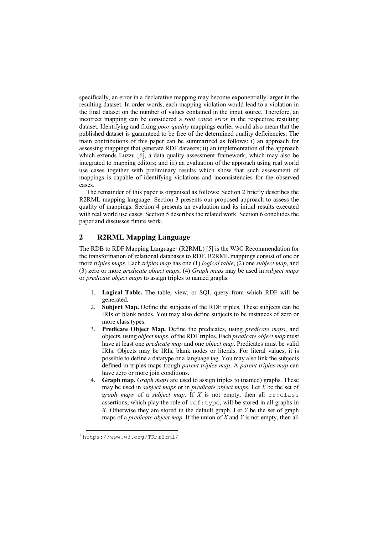specifically, an error in a declarative mapping may become exponentially larger in the resulting dataset. In order words, each mapping violation would lead to a violation in the final dataset on the number of values contained in the input source. Therefore, an incorrect mapping can be considered a *root cause error* in the respective resulting dataset. Identifying and fixing *poor quality* mappings earlier would also mean that the published dataset is guaranteed to be free of the determined quality deficiencies. The main contributions of this paper can be summarized as follows: i) an approach for assessing mappings that generate RDF datasets; ii) an implementation of the approach which extends Luzzu [6], a data quality assessment framework, which may also be integrated to mapping editors; and iii) an evaluation of the approach using real world use cases together with preliminary results which show that such assessment of mappings is capable of identifying violations and inconsistencies for the observed cases.

The remainder of this paper is organised as follows: Section 2 briefly describes the R2RML mapping language. Section 3 presents our proposed approach to assess the quality of mappings. Section 4 presents an evaluation and its initial results executed with real world use cases. Section 5 describes the related work. Section 6 concludes the paper and discusses future work.

# **2 R2RML Mapping Language**

The RDB to RDF Mapping Language<sup>1</sup> (R2RML) [5] is the W3C Recommendation for the transformation of relational databases to RDF. R2RML mappings consist of one or more *triples maps*. Each *triples map* has one (1) *logical table*, (2) one *subject map*, and (3) zero or more *predicate object maps*; (4) *Graph maps* may be used in *subject maps* or *predicate object maps* to assign triples to named graphs.

- 1. **Logical Table.** The table, view, or SQL query from which RDF will be generated.
- 2. **Subject Map.** Define the subjects of the RDF triples. These subjects can be IRIs or blank nodes. You may also define subjects to be instances of zero or more class types.
- 3. **Predicate Object Map.** Define the predicates, using *predicate maps*, and objects, using *object maps*, of the RDF triples. Each *predicate object map* must have at least one *predicate map* and one *object map*. Predicates must be valid IRIs. Objects may be IRIs, blank nodes or literals. For literal values, it is possible to define a datatype or a language tag. You may also link the subjects defined in triples maps trough *parent triples map*. A *parent triples map* can have zero or more join conditions.
- 4. **Graph map.** *Graph maps* are used to assign triples to (named) graphs. These may be used in *subject maps* or in *predicate object maps*. Let *X* be the set of *graph maps* of a *subject map*. If *X* is not empty, then all  $rr:class$ assertions, which play the role of  $rdf:type$ , will be stored in all graphs in *X*. Otherwise they are stored in the default graph. Let *Y* be the set of graph maps of a *predicate object map*. If the union of *X* and *Y* is not empty, then all

 <sup>1</sup> https://www.w3.org/TR/r2rml/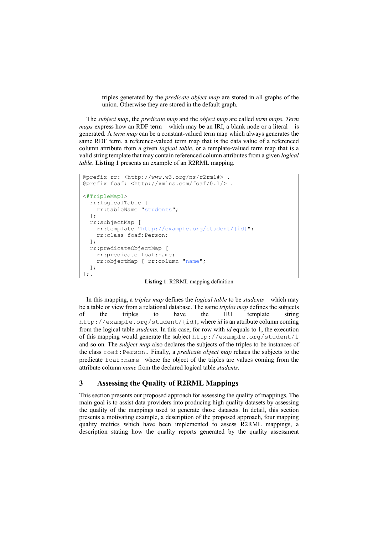triples generated by the *predicate object map* are stored in all graphs of the union. Otherwise they are stored in the default graph.

The *subject map*, the *predicate map* and the *object map* are called *term maps*. *Term maps* express how an RDF term – which may be an IRI, a blank node or a literal – is generated. A *term map* can be a constant-valued term map which always generates the same RDF term, a reference-valued term map that is the data value of a referenced column attribute from a given *logical table*, or a template-valued term map that is a valid string template that may contain referenced column attributes from a given *logical table*. **Listing 1** presents an example of an R2RML mapping.

```
@prefix rr: <http://www.w3.org/ns/r2rml#> .
@prefix foaf: <http://xmlns.com/foaf/0.1/> .
<#TripleMap1>
   rr:logicalTable [ 
     rr:tableName "students"; 
   ];
   rr:subjectMap [
     rr:template "http://example.org/student/{id}"; 
     rr:class foaf:Person;
   ];
   rr:predicateObjectMap [
     rr:predicate foaf:name; 
     rr:objectMap [ rr:column "name"; 
   ]; 
];.
```
**Listing 1**: R2RML mapping definition

In this mapping, a *triples map* defines the *logical table* to be *students* – which may be a table or view from a relational database. The same *triples map* defines the subjects of the triples to have the IRI template string http://example.org/student/{id}, where *id* is an attribute column coming from the logical table *students*. In this case, for row with *id* equals to 1, the execution of this mapping would generate the subject http://example.org/student/1 and so on. The *subject map* also declares the subjects of the triples to be instances of the class foaf:Person. Finally, a *predicate object map* relates the subjects to the predicate foaf:name where the object of the triples are values coming from the attribute column *name* from the declared logical table *students*.

# **3 Assessing the Quality of R2RML Mappings**

This section presents our proposed approach for assessing the quality of mappings. The main goal is to assist data providers into producing high quality datasets by assessing the quality of the mappings used to generate those datasets. In detail, this section presents a motivating example, a description of the proposed approach, four mapping quality metrics which have been implemented to assess R2RML mappings, a description stating how the quality reports generated by the quality assessment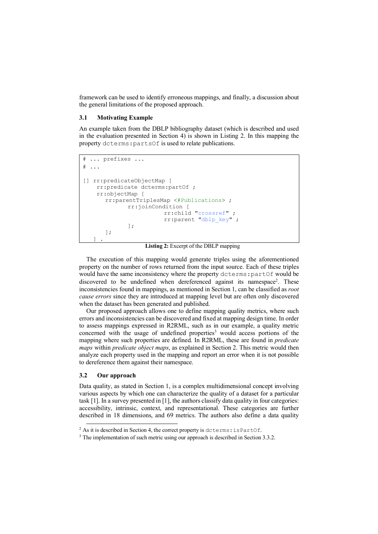framework can be used to identify erroneous mappings, and finally, a discussion about the general limitations of the proposed approach.

## **3.1 Motivating Example**

An example taken from the DBLP bibliography dataset (which is described and used in the evaluation presented in Section 4) is shown in Listing 2. In this mapping the property dcterms:partsOf is used to relate publications.

```
# ... prefixes ...
# \dots[] rr:predicateObjectMap [
    rr:predicate dcterms:partOf ;
     rr:objectMap [
      rr:parentTriplesMap <#Publications> ;
              rr:joinCondition [
                          rr:child "crossref" ;
                          rr:parent "dblp_key" ;
              ];
       ]; 
\Box
```
**Listing 2:** Excerpt of the DBLP mapping

The execution of this mapping would generate triples using the aforementioned property on the number of rows returned from the input source. Each of these triples would have the same inconsistency where the property dcterms:partOf would be discovered to be undefined when dereferenced against its namespace<sup>2</sup>. These inconsistencies found in mappings, as mentioned in Section 1, can be classified as *root cause errors* since they are introduced at mapping level but are often only discovered when the dataset has been generated and published.

Our proposed approach allows one to define mapping quality metrics, where such errors and inconsistencies can be discovered and fixed at mapping design time. In order to assess mappings expressed in R2RML, such as in our example, a quality metric concerned with the usage of undefined properties<sup>3</sup> would access portions of the mapping where such properties are defined. In R2RML, these are found in *predicate maps* within *predicate object maps*, as explained in Section 2. This metric would then analyze each property used in the mapping and report an error when it is not possible to dereference them against their namespace.

#### **3.2 Our approach**

Data quality, as stated in Section 1, is a complex multidimensional concept involving various aspects by which one can characterize the quality of a dataset for a particular task [1]. In a survey presented in [1], the authors classify data quality in four categories: accessibility, intrinsic, context, and representational. These categories are further described in 18 dimensions, and 69 metrics. The authors also define a data quality

<sup>&</sup>lt;sup>2</sup> As it is described in Section 4, the correct property is dcterms: isPartOf.

<sup>&</sup>lt;sup>3</sup> The implementation of such metric using our approach is described in Section 3.3.2.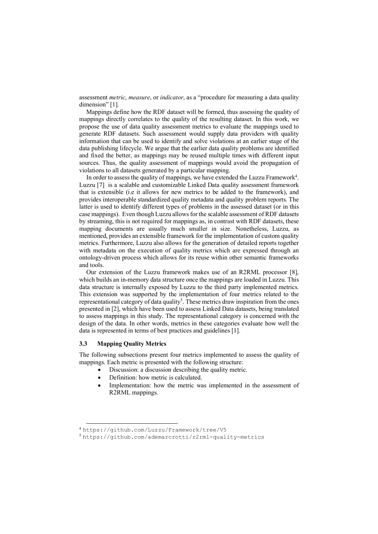assessment *metric*, *measure*, or *indicator*, as a "procedure for measuring a data quality dimension" [1].

Mappings define how the RDF dataset will be formed, thus assessing the quality of mappings directly correlates to the quality of the resulting dataset. In this work, we propose the use of data quality assessment metrics to evaluate the mappings used to generate RDF datasets. Such assessment would supply data providers with quality information that can be used to identify and solve violations at an earlier stage of the data publishing lifecycle. We argue that the earlier data quality problems are identified and fixed the better, as mappings may be reused multiple times with different input sources. Thus, the quality assessment of mappings would avoid the propagation of violations to all datasets generated by a particular mapping.

In order to assess the quality of mappings, we have extended the Luzzu Framework<sup>4</sup>. Luzzu [7] is a scalable and customizable Linked Data quality assessment framework that is extensible (i.e it allows for new metrics to be added to the framework), and provides interoperable standardized quality metadata and quality problem reports. The latter is used to identify different types of problems in the assessed dataset (or in this case mappings). Even though Luzzu allows for the scalable assessment of RDF datasets by streaming, this is not required for mappings as, in contrast with RDF datasets, these mapping documents are usually much smaller in size. Nonetheless, Luzzu, as mentioned, provides an extensible framework for the implementation of custom quality metrics. Furthermore, Luzzu also allows for the generation of detailed reports together with metadata on the execution of quality metrics which are expressed through an ontology-driven process which allows for its reuse within other semantic frameworks and tools.

Our extension of the Luzzu framework makes use of an R2RML processor [8], which builds an in-memory data structure once the mappings are loaded in Luzzu. This data structure is internally exposed by Luzzu to the third party implemented metrics. This extension was supported by the implementation of four metrics related to the representational category of data quality<sup>5</sup>. These metrics draw inspiration from the ones presented in [2], which have been used to assess Linked Data datasets, being translated to assess mappings in this study. The representational category is concerned with the design of the data. In other words, metrics in these categories evaluate how well the data is represented in terms of best practices and guidelines [1].

### **3.3 Mapping Quality Metrics**

The following subsections present four metrics implemented to assess the quality of mappings. Each metric is presented with the following structure:

- Discussion: a discussion describing the quality metric.
- Definition: how metric is calculated.
- Implementation: how the metric was implemented in the assessment of R2RML mappings.

 <sup>4</sup> https://github.com/Luzzu/Framework/tree/V5

<sup>5</sup> https://github.com/ademarcrotti/r2rml-quality-metrics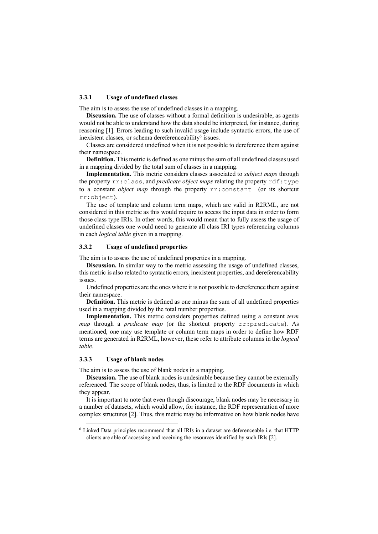### **3.3.1 Usage of undefined classes**

The aim is to assess the use of undefined classes in a mapping.

**Discussion.** The use of classes without a formal definition is undesirable, as agents would not be able to understand how the data should be interpreted, for instance, during reasoning [1]. Errors leading to such invalid usage include syntactic errors, the use of inexistent classes, or schema dereferenceability<sup>6</sup> issues.

Classes are considered undefined when it is not possible to dereference them against their namespace.

**Definition.** This metric is defined as one minus the sum of all undefined classes used in a mapping divided by the total sum of classes in a mapping.

**Implementation.** This metric considers classes associated to *subject maps* through the property rr:class, and *predicate object maps* relating the property rdf:type to a constant *object map* through the property rr:constant (or its shortcut rr:object).

The use of template and column term maps, which are valid in R2RML, are not considered in this metric as this would require to access the input data in order to form those class type IRIs. In other words, this would mean that to fully assess the usage of undefined classes one would need to generate all class IRI types referencing columns in each *logical table* given in a mapping.

#### **3.3.2 Usage of undefined properties**

The aim is to assess the use of undefined properties in a mapping.

**Discussion.** In similar way to the metric assessing the usage of undefined classes, this metric is also related to syntactic errors, inexistent properties, and dereferencability issues.

Undefined properties are the ones where it is not possible to dereference them against their namespace.

**Definition.** This metric is defined as one minus the sum of all undefined properties used in a mapping divided by the total number properties.

**Implementation.** This metric considers properties defined using a constant *term map* through a *predicate map* (or the shortcut property rr:predicate). As mentioned, one may use template or column term maps in order to define how RDF terms are generated in R2RML, however, these refer to attribute columns in the *logical table*.

#### **3.3.3 Usage of blank nodes**

The aim is to assess the use of blank nodes in a mapping.

**Discussion.** The use of blank nodes is undesirable because they cannot be externally referenced. The scope of blank nodes, thus, is limited to the RDF documents in which they appear.

It is important to note that even though discourage, blank nodes may be necessary in a number of datasets, which would allow, for instance, the RDF representation of more complex structures [2]. Thus, this metric may be informative on how blank nodes have

 <sup>6</sup> Linked Data principles recommend that all IRIs in a dataset are deferenceable i.e. that HTTP clients are able of accessing and receiving the resources identified by such IRIs [2].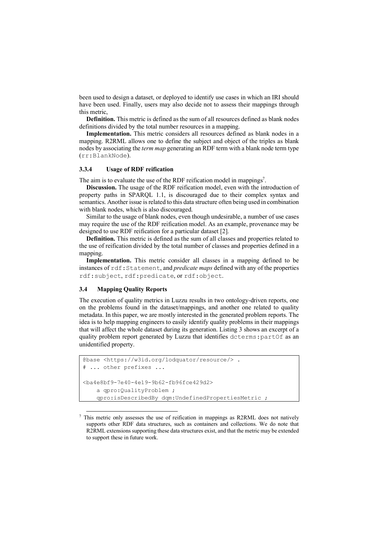been used to design a dataset, or deployed to identify use cases in which an IRI should have been used. Finally, users may also decide not to assess their mappings through this metric,

**Definition.** This metric is defined as the sum of all resources defined as blank nodes definitions divided by the total number resources in a mapping.

**Implementation.** This metric considers all resources defined as blank nodes in a mapping. R2RML allows one to define the subject and object of the triples as blank nodes by associating the *term map* generating an RDF term with a blank node term type (rr:BlankNode).

#### **3.3.4 Usage of RDF reification**

The aim is to evaluate the use of the RDF reification model in mappings<sup>7</sup>.

**Discussion.** The usage of the RDF reification model, even with the introduction of property paths in SPARQL 1.1, is discouraged due to their complex syntax and semantics. Another issue is related to this data structure often being used in combination with blank nodes, which is also discouraged.

Similar to the usage of blank nodes, even though undesirable, a number of use cases may require the use of the RDF reification model. As an example, provenance may be designed to use RDF reification for a particular dataset [2].

**Definition.** This metric is defined as the sum of all classes and properties related to the use of reification divided by the total number of classes and properties defined in a mapping.

**Implementation.** This metric consider all classes in a mapping defined to be instances of rdf:Statement, and *predicate maps* defined with any of the properties rdf:subject, rdf:predicate, or rdf:object.

### **3.4 Mapping Quality Reports**

The execution of quality metrics in Luzzu results in two ontology-driven reports, one on the problems found in the dataset/mappings, and another one related to quality metadata. In this paper, we are mostly interested in the generated problem reports. The idea is to help mapping engineers to easily identify quality problems in their mappings that will affect the whole dataset during its generation. Listing 3 shows an excerpt of a quality problem report generated by Luzzu that identifies dcterms:partOf as an unidentified property.

```
@base <https://w3id.org/lodquator/resource/> .
# ... other prefixes ...
<ba4e8bf9-7e40-4e19-9b62-fb96fce429d2>
    a gpro:OualityProblem ;
     qpro:isDescribedBy dqm:UndefinedPropertiesMetric ;
```
 $7$  This metric only assesses the use of reification in mappings as R2RML does not natively supports other RDF data structures, such as containers and collections. We do note that R2RML extensions supporting these data structures exist, and that the metric may be extended to support these in future work.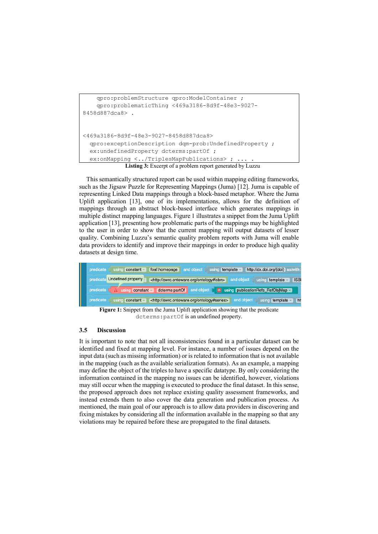```
 qpro:problemStructure qpro:ModelContainer ;
     qpro:problematicThing <469a3186-8d9f-48e3-9027-
8458d887dca8> .
<469a3186-8d9f-48e3-9027-8458d887dca8>
   qpro:exceptionDescription dqm-prob:UndefinedProperty ;
  ex:undefinedProperty dcterms:partOf ;
  ex:onMapping <../TriplesMapPublications> ;
```
**Listing 3:** Excerpt of a problem report generated by Luzzu

This semantically structured report can be used within mapping editing frameworks, such as the Jigsaw Puzzle for Representing Mappings (Juma) [12]. Juma is capable of representing Linked Data mappings through a block-based metaphor. Where the Juma Uplift application [13], one of its implementations, allows for the definition of mappings through an abstract block-based interface which generates mappings in multiple distinct mapping languages. Figure 1 illustrates a snippet from the Juma Uplift application [13], presenting how problematic parts of the mappings may be highlighted to the user in order to show that the current mapping will output datasets of lesser quality. Combining Luzzu's semantic quality problem reports with Juma will enable data providers to identify and improve their mappings in order to produce high quality datasets at design time.



**Figure 1:** Snippet from the Juma Uplift application showing that the predicate dcterms:partOf is an undefined property.

## **3.5 Discussion**

It is important to note that not all inconsistencies found in a particular dataset can be identified and fixed at mapping level. For instance, a number of issues depend on the input data (such as missing information) or is related to information that is not available in the mapping (such as the available serialization formats). As an example, a mapping may define the object of the triples to have a specific datatype. By only considering the information contained in the mapping no issues can be identified, however, violations may still occur when the mapping is executed to produce the final dataset. In this sense, the proposed approach does not replace existing quality assessment frameworks, and instead extends them to also cover the data generation and publication process. As mentioned, the main goal of our approach is to allow data providers in discovering and fixing mistakes by considering all the information available in the mapping so that any violations may be repaired before these are propagated to the final datasets.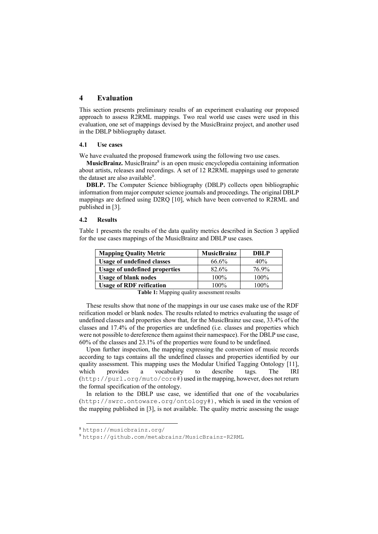# **4 Evaluation**

This section presents preliminary results of an experiment evaluating our proposed approach to assess R2RML mappings. Two real world use cases were used in this evaluation, one set of mappings devised by the MusicBrainz project, and another used in the DBLP bibliography dataset.

#### **4.1 Use cases**

We have evaluated the proposed framework using the following two use cases.

**MusicBrainz.** MusicBrainz<sup>8</sup> is an open music encyclopedia containing information about artists, releases and recordings. A set of 12 R2RML mappings used to generate the dataset are also available<sup>9</sup>.

**DBLP.** The Computer Science bibliography (DBLP) collects open bibliographic information from major computer science journals and proceedings. The original DBLP mappings are defined using D2RQ [10], which have been converted to R2RML and published in [3].

### **4.2 Results**

Table 1 presents the results of the data quality metrics described in Section 3 applied for the use cases mappings of the MusicBrainz and DBLP use cases.

| <b>Mapping Quality Metric</b>        | <b>MusicBrainz</b> | <b>DBLP</b> |
|--------------------------------------|--------------------|-------------|
| <b>Usage of undefined classes</b>    | 66.6%              | 40%         |
| <b>Usage of undefined properties</b> | 82.6%              | 76.9%       |
| <b>Usage of blank nodes</b>          | 100%               | 100%        |
| <b>Usage of RDF reification</b>      | $100\%$            | 100%        |

**Table 1:** Mapping quality assessment results

These results show that none of the mappings in our use cases make use of the RDF reification model or blank nodes. The results related to metrics evaluating the usage of undefined classes and properties show that, for the MusicBrainz use case, 33.4% of the classes and 17.4% of the properties are undefined (i.e. classes and properties which were not possible to dereference them against their namespace). For the DBLP use case, 60% of the classes and 23.1% of the properties were found to be undefined.

Upon further inspection, the mapping expressing the conversion of music records according to tags contains all the undefined classes and properties identified by our quality assessment. This mapping uses the Modular Unified Tagging Ontology [11], which provides a vocabulary to describe tags. The IRI (http://purl.org/muto/core#) used in the mapping, however, does not return the formal specification of the ontology.

In relation to the DBLP use case, we identified that one of the vocabularies (http://swrc.ontoware.org/ontology#), which is used in the version of the mapping published in [3], is not available. The quality metric assessing the usage

 <sup>8</sup> https://musicbrainz.org/

<sup>9</sup> https://github.com/metabrainz/MusicBrainz-R2RML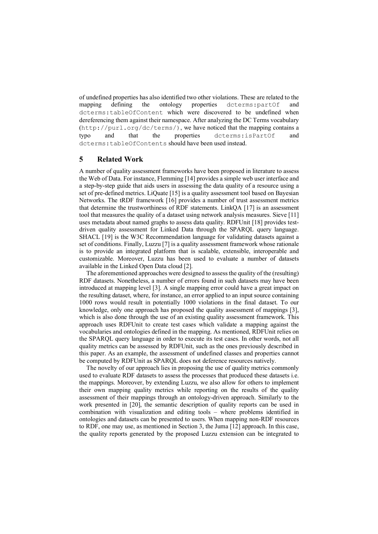of undefined properties has also identified two other violations. These are related to the mapping defining the ontology properties dcterms:partOf and dcterms:tableOfContent which were discovered to be undefined when dereferencing them against their namespace. After analyzing the DC Terms vocabulary (http://purl.org/dc/terms/), we have noticed that the mapping contains a typo and that the properties dcterms:isPartOf and dcterms:tableOfContents should have been used instead.

# **5 Related Work**

A number of quality assessment frameworks have been proposed in literature to assess the Web of Data. For instance, Flemming [14] provides a simple web user interface and a step-by-step guide that aids users in assessing the data quality of a resource using a set of pre-defined metrics. LiQuate [15] is a quality assessment tool based on Bayesian Networks. The tRDF framework [16] provides a number of trust assessment metrics that determine the trustworthiness of RDF statements. LinkQA [17] is an assessment tool that measures the quality of a dataset using network analysis measures. Sieve [11] uses metadata about named graphs to assess data quality. RDFUnit [18] provides testdriven quality assessment for Linked Data through the SPARQL query language. SHACL [19] is the W3C Recommendation language for validating datasets against a set of conditions. Finally, Luzzu [7] is a quality assessment framework whose rationale is to provide an integrated platform that is scalable, extensible, interoperable and customizable. Moreover, Luzzu has been used to evaluate a number of datasets available in the Linked Open Data cloud [2].

The aforementioned approaches were designed to assess the quality of the (resulting) RDF datasets. Nonetheless, a number of errors found in such datasets may have been introduced at mapping level [3]. A single mapping error could have a great impact on the resulting dataset, where, for instance, an error applied to an input source containing 1000 rows would result in potentially 1000 violations in the final dataset. To our knowledge, only one approach has proposed the quality assessment of mappings [3], which is also done through the use of an existing quality assessment framework. This approach uses RDFUnit to create test cases which validate a mapping against the vocabularies and ontologies defined in the mapping. As mentioned, RDFUnit relies on the SPARQL query language in order to execute its test cases. In other words, not all quality metrics can be assessed by RDFUnit, such as the ones previously described in this paper. As an example, the assessment of undefined classes and properties cannot be computed by RDFUnit as SPARQL does not deference resources natively.

The novelty of our approach lies in proposing the use of quality metrics commonly used to evaluate RDF datasets to assess the processes that produced these datasets i.e. the mappings. Moreover, by extending Luzzu, we also allow for others to implement their own mapping quality metrics while reporting on the results of the quality assessment of their mappings through an ontology-driven approach. Similarly to the work presented in [20], the semantic description of quality reports can be used in combination with visualization and editing tools – where problems identified in ontologies and datasets can be presented to users. When mapping non-RDF resources to RDF, one may use, as mentioned in Section 3, the Juma [12] approach. In this case, the quality reports generated by the proposed Luzzu extension can be integrated to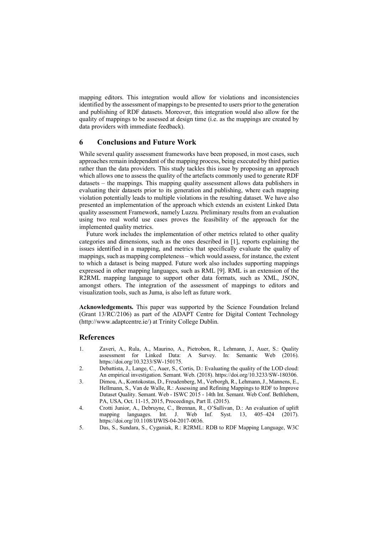mapping editors. This integration would allow for violations and inconsistencies identified by the assessment of mappings to be presented to users prior to the generation and publishing of RDF datasets. Moreover, this integration would also allow for the quality of mappings to be assessed at design time (i.e. as the mappings are created by data providers with immediate feedback).

# **6 Conclusions and Future Work**

While several quality assessment frameworks have been proposed, in most cases, such approaches remain independent of the mapping process, being executed by third parties rather than the data providers. This study tackles this issue by proposing an approach which allows one to assess the quality of the artefacts commonly used to generate RDF datasets – the mappings. This mapping quality assessment allows data publishers in evaluating their datasets prior to its generation and publishing, where each mapping violation potentially leads to multiple violations in the resulting dataset. We have also presented an implementation of the approach which extends an existent Linked Data quality assessment Framework, namely Luzzu. Preliminary results from an evaluation using two real world use cases proves the feasibility of the approach for the implemented quality metrics.

Future work includes the implementation of other metrics related to other quality categories and dimensions, such as the ones described in [1], reports explaining the issues identified in a mapping, and metrics that specifically evaluate the quality of mappings, such as mapping completeness – which would assess, for instance, the extent to which a dataset is being mapped. Future work also includes supporting mappings expressed in other mapping languages, such as RML [9]. RML is an extension of the R2RML mapping language to support other data formats, such as XML, JSON, amongst others. The integration of the assessment of mappings to editors and visualization tools, such as Juma, is also left as future work.

**Acknowledgements.** This paper was supported by the Science Foundation Ireland (Grant 13/RC/2106) as part of the ADAPT Centre for Digital Content Technology (http://www.adaptcentre.ie/) at Trinity College Dublin.

# **References**

- 1. Zaveri, A., Rula, A., Maurino, A., Pietrobon, R., Lehmann, J., Auer, S.: Quality assessment for Linked Data: A Survey. In: Semantic Web (2016). https://doi.org/10.3233/SW-150175.
- 2. Debattista, J., Lange, C., Auer, S., Cortis, D.: Evaluating the quality of the LOD cloud: An empirical investigation. Semant. Web. (2018). https://doi.org/10.3233/SW-180306.
- 3. Dimou, A., Kontokostas, D., Freudenberg, M., Verborgh, R., Lehmann, J., Mannens, E., Hellmann, S., Van de Walle, R.: Assessing and Refining Mappings to RDF to Improve Dataset Quality. Semant. Web - ISWC 2015 - 14th Int. Semant. Web Conf. Bethlehem, PA, USA, Oct. 11-15, 2015, Proceedings, Part II. (2015).
- 4. Crotti Junior, A., Debruyne, C., Brennan, R., O'Sullivan, D.: An evaluation of uplift mapping languages. Int. J. Web Inf. Syst. 13, 405–424 (2017). https://doi.org/10.1108/IJWIS-04-2017-0036.
- 5. Das, S., Sundara, S., Cyganiak, R.: R2RML: RDB to RDF Mapping Language, W3C